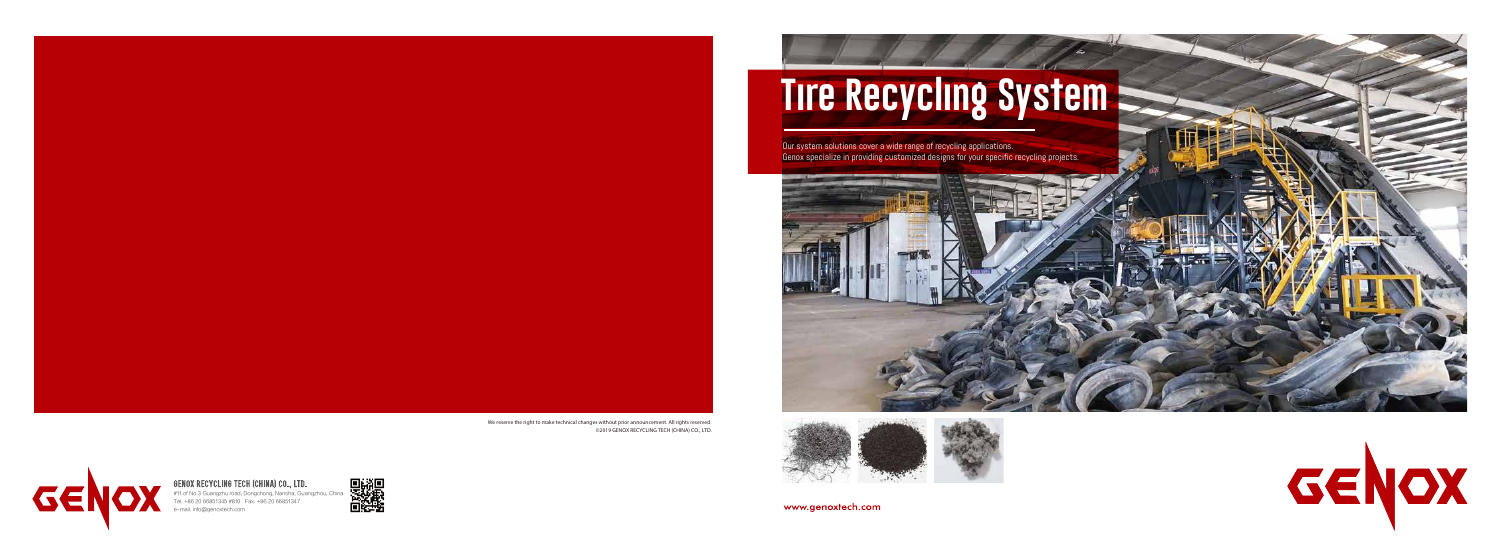Sides

We reserve the right to make technical changes without prior announcement. All rights reserved. ©2019 GENOX RECYCLING TECH (CHINA) CO., LTD.



www.genoxtech.com



**GEI** 

**Our system solutions cover a wide range of recycling applications.** Genox specialize in providing customized designs for your specific recycling projects.





# **Tire Recycling System**

#11 of No.3 Guangzhu road, Dongchong, Nansha, Guangzhou, China Tel. +86 20 66851345 #810 Fax. +86 20 66851347 e-mail. info@genoxtech.com